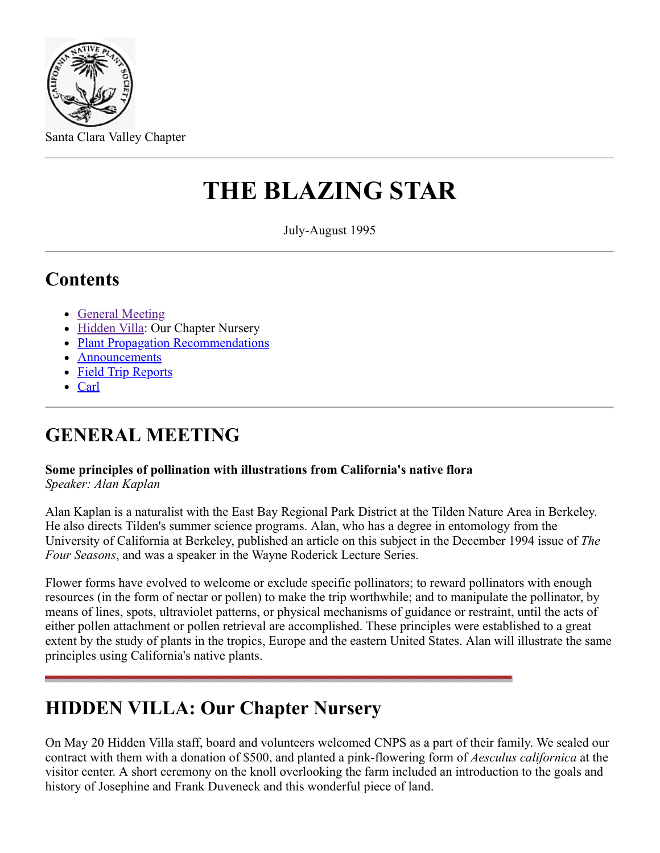

Santa Clara Valley Chapter

# **THE BLAZING STAR**

July-August 1995

### **Contents**

- [General Meeting](#page-0-0)
- [Hidden Villa:](#page-0-1) Our Chapter Nursery
- [Plant Propagation Recommendations](#page-1-0)
- **[Announcements](#page-1-1)**
- [Field Trip Reports](#page-2-0)
- [Carl](#page-3-0)

## <span id="page-0-0"></span>**GENERAL MEETING**

#### **Some principles of pollination with illustrations from California's native flora**

*Speaker: Alan Kaplan*

Alan Kaplan is a naturalist with the East Bay Regional Park District at the Tilden Nature Area in Berkeley. He also directs Tilden's summer science programs. Alan, who has a degree in entomology from the University of California at Berkeley, published an article on this subject in the December 1994 issue of *The Four Seasons*, and was a speaker in the Wayne Roderick Lecture Series.

Flower forms have evolved to welcome or exclude specific pollinators; to reward pollinators with enough resources (in the form of nectar or pollen) to make the trip worthwhile; and to manipulate the pollinator, by means of lines, spots, ultraviolet patterns, or physical mechanisms of guidance or restraint, until the acts of either pollen attachment or pollen retrieval are accomplished. These principles were established to a great extent by the study of plants in the tropics, Europe and the eastern United States. Alan will illustrate the same principles using California's native plants.

## <span id="page-0-1"></span>**HIDDEN VILLA: Our Chapter Nursery**

On May 20 Hidden Villa staff, board and volunteers welcomed CNPS as a part of their family. We sealed our contract with them with a donation of \$500, and planted a pink-flowering form of *Aesculus californica* at the visitor center. A short ceremony on the knoll overlooking the farm included an introduction to the goals and history of Josephine and Frank Duveneck and this wonderful piece of land.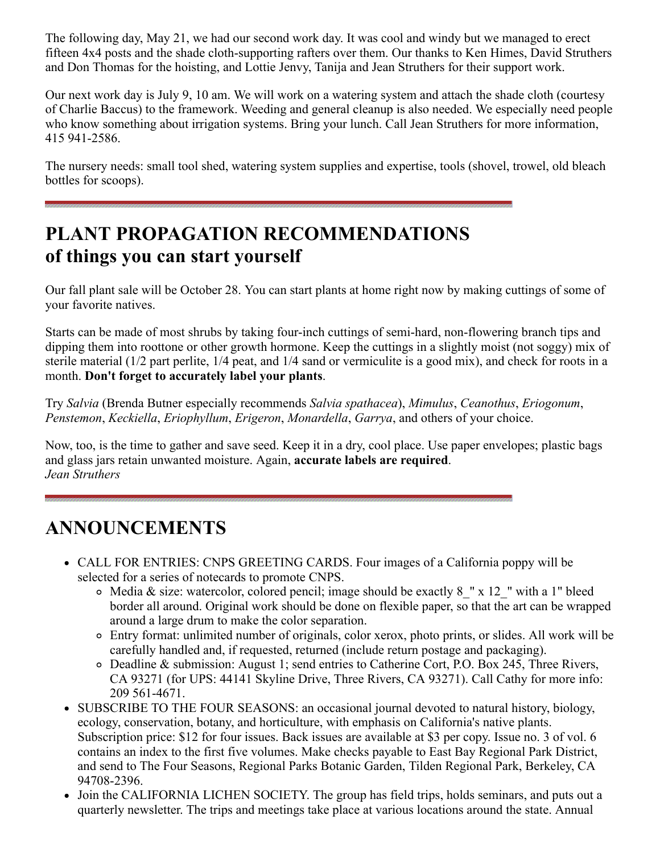The following day, May 21, we had our second work day. It was cool and windy but we managed to erect fifteen 4x4 posts and the shade cloth-supporting rafters over them. Our thanks to Ken Himes, David Struthers and Don Thomas for the hoisting, and Lottie Jenvy, Tanija and Jean Struthers for their support work.

Our next work day is July 9, 10 am. We will work on a watering system and attach the shade cloth (courtesy of Charlie Baccus) to the framework. Weeding and general cleanup is also needed. We especially need people who know something about irrigation systems. Bring your lunch. Call Jean Struthers for more information, 415 941-2586.

The nursery needs: small tool shed, watering system supplies and expertise, tools (shovel, trowel, old bleach bottles for scoops).

### <span id="page-1-0"></span>**PLANT PROPAGATION RECOMMENDATIONS of things you can start yourself**

Our fall plant sale will be October 28. You can start plants at home right now by making cuttings of some of your favorite natives.

Starts can be made of most shrubs by taking four-inch cuttings of semi-hard, non-flowering branch tips and dipping them into roottone or other growth hormone. Keep the cuttings in a slightly moist (not soggy) mix of sterile material (1/2 part perlite, 1/4 peat, and 1/4 sand or vermiculite is a good mix), and check for roots in a month. **Don't forget to accurately label your plants**.

Try *Salvia* (Brenda Butner especially recommends *Salvia spathacea*), *Mimulus*, *Ceanothus*, *Eriogonum*, *Penstemon*, *Keckiella*, *Eriophyllum*, *Erigeron*, *Monardella*, *Garrya*, and others of your choice.

Now, too, is the time to gather and save seed. Keep it in a dry, cool place. Use paper envelopes; plastic bags and glass jars retain unwanted moisture. Again, **accurate labels are required**. *Jean Struthers*

#### <span id="page-1-1"></span>**ANNOUNCEMENTS**

- CALL FOR ENTRIES: CNPS GREETING CARDS. Four images of a California poppy will be selected for a series of notecards to promote CNPS.
	- $\circ$  Media & size: watercolor, colored pencil; image should be exactly 8 " x 12 " with a 1" bleed border all around. Original work should be done on flexible paper, so that the art can be wrapped around a large drum to make the color separation.
	- Entry format: unlimited number of originals, color xerox, photo prints, or slides. All work will be carefully handled and, if requested, returned (include return postage and packaging).
	- Deadline & submission: August 1; send entries to Catherine Cort, P.O. Box 245, Three Rivers, CA 93271 (for UPS: 44141 Skyline Drive, Three Rivers, CA 93271). Call Cathy for more info: 209 561-4671.
- SUBSCRIBE TO THE FOUR SEASONS: an occasional journal devoted to natural history, biology, ecology, conservation, botany, and horticulture, with emphasis on California's native plants. Subscription price: \$12 for four issues. Back issues are available at \$3 per copy. Issue no. 3 of vol. 6 contains an index to the first five volumes. Make checks payable to East Bay Regional Park District, and send to The Four Seasons, Regional Parks Botanic Garden, Tilden Regional Park, Berkeley, CA 94708-2396.
- Join the CALIFORNIA LICHEN SOCIETY. The group has field trips, holds seminars, and puts out a quarterly newsletter. The trips and meetings take place at various locations around the state. Annual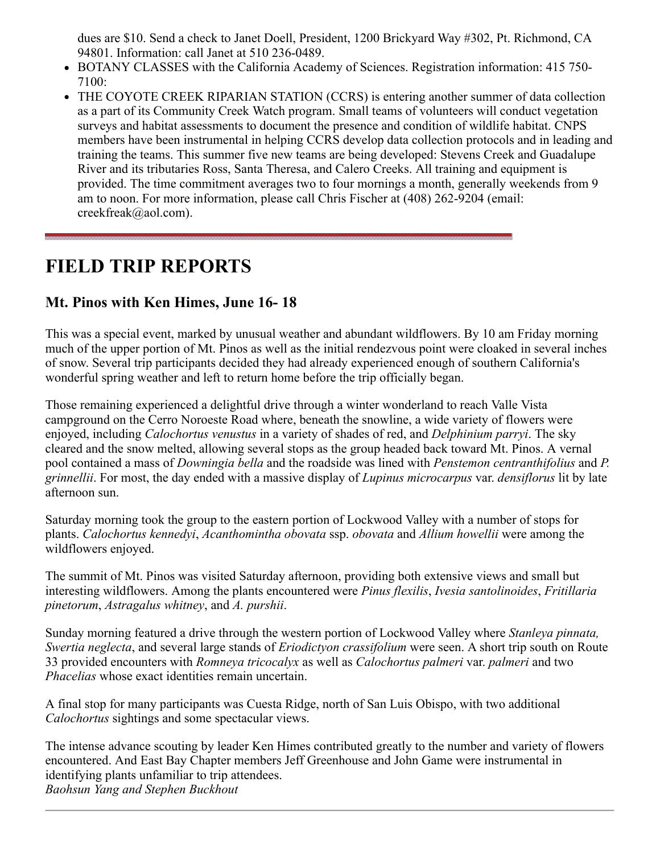dues are \$10. Send a check to Janet Doell, President, 1200 Brickyard Way #302, Pt. Richmond, CA 94801. Information: call Janet at 510 236-0489.

- BOTANY CLASSES with the California Academy of Sciences. Registration information: 415 750- 7100:
- THE COYOTE CREEK RIPARIAN STATION (CCRS) is entering another summer of data collection as a part of its Community Creek Watch program. Small teams of volunteers will conduct vegetation surveys and habitat assessments to document the presence and condition of wildlife habitat. CNPS members have been instrumental in helping CCRS develop data collection protocols and in leading and training the teams. This summer five new teams are being developed: Stevens Creek and Guadalupe River and its tributaries Ross, Santa Theresa, and Calero Creeks. All training and equipment is provided. The time commitment averages two to four mornings a month, generally weekends from 9 am to noon. For more information, please call Chris Fischer at (408) 262-9204 (email: creekfreak@aol.com).

### <span id="page-2-0"></span>**FIELD TRIP REPORTS**

#### **Mt. Pinos with Ken Himes, June 16- 18**

This was a special event, marked by unusual weather and abundant wildflowers. By 10 am Friday morning much of the upper portion of Mt. Pinos as well as the initial rendezvous point were cloaked in several inches of snow. Several trip participants decided they had already experienced enough of southern California's wonderful spring weather and left to return home before the trip officially began.

Those remaining experienced a delightful drive through a winter wonderland to reach Valle Vista campground on the Cerro Noroeste Road where, beneath the snowline, a wide variety of flowers were enjoyed, including *Calochortus venustus* in a variety of shades of red, and *Delphinium parryi*. The sky cleared and the snow melted, allowing several stops as the group headed back toward Mt. Pinos. A vernal pool contained a mass of *Downingia bella* and the roadside was lined with *Penstemon centranthifolius* and *P. grinnellii*. For most, the day ended with a massive display of *Lupinus microcarpus* var. *densiflorus* lit by late afternoon sun.

Saturday morning took the group to the eastern portion of Lockwood Valley with a number of stops for plants. *Calochortus kennedyi*, *Acanthomintha obovata* ssp. *obovata* and *Allium howellii* were among the wildflowers enjoyed.

The summit of Mt. Pinos was visited Saturday afternoon, providing both extensive views and small but interesting wildflowers. Among the plants encountered were *Pinus flexilis*, *Ivesia santolinoides*, *Fritillaria pinetorum*, *Astragalus whitney*, and *A. purshii*.

Sunday morning featured a drive through the western portion of Lockwood Valley where *Stanleya pinnata, Swertia neglecta*, and several large stands of *Eriodictyon crassifolium* were seen. A short trip south on Route 33 provided encounters with *Romneya tricocalyx* as well as *Calochortus palmeri* var. *palmeri* and two *Phacelias* whose exact identities remain uncertain.

A final stop for many participants was Cuesta Ridge, north of San Luis Obispo, with two additional *Calochortus* sightings and some spectacular views.

The intense advance scouting by leader Ken Himes contributed greatly to the number and variety of flowers encountered. And East Bay Chapter members Jeff Greenhouse and John Game were instrumental in identifying plants unfamiliar to trip attendees. *Baohsun Yang and Stephen Buckhout*